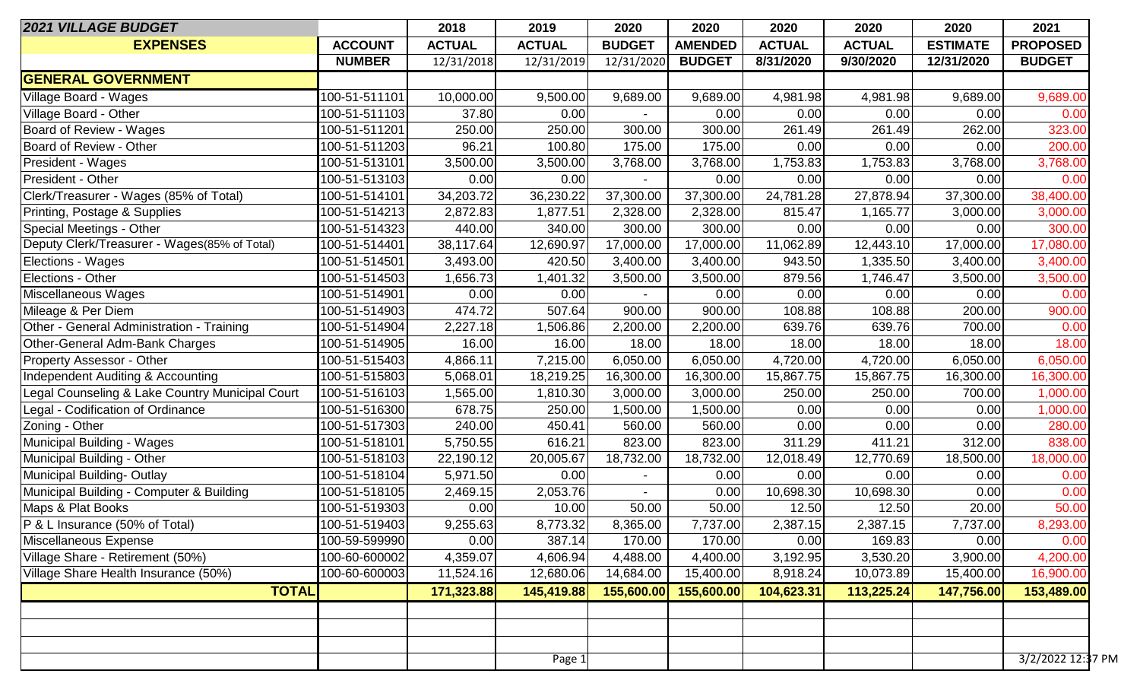| <b>2021 VILLAGE BUDGET</b>                      |                | 2018          | 2019          | 2020          | 2020           | 2020          | 2020          | 2020            | 2021              |
|-------------------------------------------------|----------------|---------------|---------------|---------------|----------------|---------------|---------------|-----------------|-------------------|
| <b>EXPENSES</b>                                 | <b>ACCOUNT</b> | <b>ACTUAL</b> | <b>ACTUAL</b> | <b>BUDGET</b> | <b>AMENDED</b> | <b>ACTUAL</b> | <b>ACTUAL</b> | <b>ESTIMATE</b> | <b>PROPOSED</b>   |
|                                                 | <b>NUMBER</b>  | 12/31/2018    | 12/31/2019    | 12/31/2020    | <b>BUDGET</b>  | 8/31/2020     | 9/30/2020     | 12/31/2020      | <b>BUDGET</b>     |
| <b>GENERAL GOVERNMENT</b>                       |                |               |               |               |                |               |               |                 |                   |
| Village Board - Wages                           | 100-51-511101  | 10,000.00     | 9,500.00      | 9,689.00      | 9,689.00       | 4,981.98      | 4,981.98      | 9,689.00        | 9,689.00          |
| Village Board - Other                           | 100-51-511103  | 37.80         | 0.00          |               | 0.00           | 0.00          | 0.00          | 0.00            | 0.00              |
| Board of Review - Wages                         | 100-51-511201  | 250.00        | 250.00        | 300.00        | 300.00         | 261.49        | 261.49        | 262.00          | 323.00            |
| Board of Review - Other                         | 100-51-511203  | 96.21         | 100.80        | 175.00        | 175.00         | 0.00          | 0.00          | 0.00            | 200.00            |
| President - Wages                               | 100-51-513101  | 3,500.00      | 3,500.00      | 3,768.00      | 3,768.00       | 1,753.83      | 1,753.83      | 3,768.00        | 3,768.00          |
| President - Other                               | 100-51-513103  | 0.00          | 0.00          |               | 0.00           | 0.00          | 0.00          | 0.00            | 0.00              |
| Clerk/Treasurer - Wages (85% of Total)          | 100-51-514101  | 34,203.72     | 36,230.22     | 37,300.00     | 37,300.00      | 24,781.28     | 27,878.94     | 37,300.00       | 38,400.00         |
| Printing, Postage & Supplies                    | 100-51-514213  | 2,872.83      | 1,877.51      | 2,328.00      | 2,328.00       | 815.47        | 1,165.77      | 3,000.00        | 3,000.00          |
| Special Meetings - Other                        | 100-51-514323  | 440.00        | 340.00        | 300.00        | 300.00         | 0.00          | 0.00          | 0.00            | 300.00            |
| Deputy Clerk/Treasurer - Wages(85% of Total)    | 100-51-514401  | 38,117.64     | 12,690.97     | 17,000.00     | 17,000.00      | 11,062.89     | 12,443.10     | 17,000.00       | 17,080.00         |
| <b>Elections - Wages</b>                        | 100-51-514501  | 3,493.00      | 420.50        | 3,400.00      | 3,400.00       | 943.50        | 1,335.50      | 3,400.00        | 3,400.00          |
| Elections - Other                               | 100-51-514503  | 1,656.73      | 1,401.32      | 3,500.00      | 3,500.00       | 879.56        | 1,746.47      | 3,500.00        | 3,500.00          |
| Miscellaneous Wages                             | 100-51-514901  | 0.00          | 0.00          |               | 0.00           | 0.00          | 0.00          | 0.00            | 0.00              |
| Mileage & Per Diem                              | 100-51-514903  | 474.72        | 507.64        | 900.00        | 900.00         | 108.88        | 108.88        | 200.00          | 900.00            |
| Other - General Administration - Training       | 100-51-514904  | 2,227.18      | 1,506.86      | 2,200.00      | 2,200.00       | 639.76        | 639.76        | 700.00          | 0.00              |
| Other-General Adm-Bank Charges                  | 100-51-514905  | 16.00         | 16.00         | 18.00         | 18.00          | 18.00         | 18.00         | 18.00           | 18.00             |
| <b>Property Assessor - Other</b>                | 100-51-515403  | 4,866.11      | 7,215.00      | 6,050.00      | 6,050.00       | 4,720.00      | 4,720.00      | 6,050.00        | 6,050.00          |
| Independent Auditing & Accounting               | 100-51-515803  | 5,068.01      | 18,219.25     | 16,300.00     | 16,300.00      | 15,867.75     | 15,867.75     | 16,300.00       | 16,300.00         |
| Legal Counseling & Lake Country Municipal Court | 100-51-516103  | 1,565.00      | 1,810.30      | 3,000.00      | 3,000.00       | 250.00        | 250.00        | 700.00          | 1,000.00          |
| Legal - Codification of Ordinance               | 100-51-516300  | 678.75        | 250.00        | 1,500.00      | 1,500.00       | 0.00          | 0.00          | 0.00            | 1,000.00          |
| Zoning - Other                                  | 100-51-517303  | 240.00        | 450.41        | 560.00        | 560.00         | 0.00          | 0.00          | 0.00            | 280.00            |
| Municipal Building - Wages                      | 100-51-518101  | 5,750.55      | 616.21        | 823.00        | 823.00         | 311.29        | 411.21        | 312.00          | 838.00            |
| Municipal Building - Other                      | 100-51-518103  | 22,190.12     | 20,005.67     | 18,732.00     | 18,732.00      | 12,018.49     | 12,770.69     | 18,500.00       | 18,000.00         |
| Municipal Building-Outlay                       | 100-51-518104  | 5,971.50      | 0.00          |               | 0.00           | 0.00          | 0.00          | 0.00            | 0.00              |
| Municipal Building - Computer & Building        | 100-51-518105  | 2,469.15      | 2,053.76      |               | 0.00           | 10,698.30     | 10,698.30     | 0.00            | 0.00              |
| Maps & Plat Books                               | 100-51-519303  | 0.00          | 10.00         | 50.00         | 50.00          | 12.50         | 12.50         | 20.00           | 50.00             |
| P & L Insurance (50% of Total)                  | 100-51-519403  | 9,255.63      | 8,773.32      | 8,365.00      | 7,737.00       | 2,387.15      | 2,387.15      | 7,737.00        | 8,293.00          |
| Miscellaneous Expense                           | 100-59-599990  | 0.00          | 387.14        | 170.00        | 170.00         | 0.00          | 169.83        | 0.00            | 0.00              |
| Village Share - Retirement (50%)                | 100-60-600002  | 4,359.07      | 4,606.94      | 4,488.00      | 4,400.00       | 3,192.95      | 3,530.20      | 3,900.00        | 4,200.00          |
| Village Share Health Insurance (50%)            | 100-60-600003  | 11,524.16     | 12,680.06     | 14,684.00     | 15,400.00      | 8,918.24      | 10,073.89     | 15,400.00       | 16,900.00         |
| <b>TOTAL</b>                                    |                | 171,323.88    | 145,419.88    | 155,600.00    | 155,600.00     | 104,623.31    | 113,225.24    | 147,756.00      | 153,489.00        |
|                                                 |                |               |               |               |                |               |               |                 |                   |
|                                                 |                |               |               |               |                |               |               |                 |                   |
|                                                 |                |               |               |               |                |               |               |                 |                   |
|                                                 |                |               | Page 1        |               |                |               |               |                 | 3/2/2022 12:37 PM |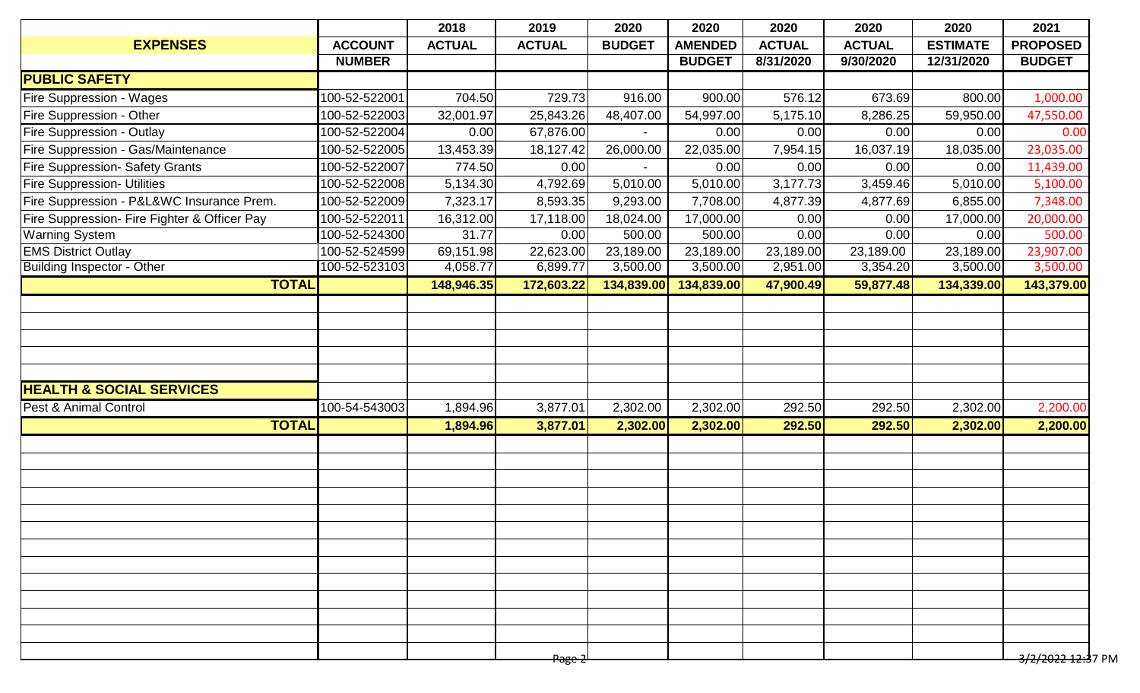|                | 2018          | 2019                  | 2020                                    | 2020                   | 2020                               | 2020          | 2020            | 2021                                                                                                                                                         |
|----------------|---------------|-----------------------|-----------------------------------------|------------------------|------------------------------------|---------------|-----------------|--------------------------------------------------------------------------------------------------------------------------------------------------------------|
| <b>ACCOUNT</b> | <b>ACTUAL</b> | <b>ACTUAL</b>         | <b>BUDGET</b>                           | <b>AMENDED</b>         | <b>ACTUAL</b>                      | <b>ACTUAL</b> | <b>ESTIMATE</b> | <b>PROPOSED</b>                                                                                                                                              |
| <b>NUMBER</b>  |               |                       |                                         | <b>BUDGET</b>          | 8/31/2020                          | 9/30/2020     | 12/31/2020      | <b>BUDGET</b>                                                                                                                                                |
|                |               |                       |                                         |                        |                                    |               |                 |                                                                                                                                                              |
| 100-52-522001  |               | 729.73                | 916.00                                  | 900.00                 | 576.12                             | 673.69        |                 | 1,000.00                                                                                                                                                     |
| 100-52-522003  | 32,001.97     | 25,843.26             | 48,407.00                               | 54,997.00              | 5,175.10                           | 8,286.25      |                 | 47,550.00                                                                                                                                                    |
| 100-52-522004  | 0.00          |                       |                                         | 0.00                   | 0.00                               | 0.00          |                 | 0.00                                                                                                                                                         |
| 100-52-522005  | 13,453.39     | 18,127.42             | 26,000.00                               | 22,035.00              | 7,954.15                           | 16,037.19     |                 | 23,035.00                                                                                                                                                    |
| 100-52-522007  | 774.50        | 0.00                  |                                         | 0.00                   | 0.00                               | 0.00          |                 | 11,439.00                                                                                                                                                    |
| 100-52-522008  | 5,134.30      | 4,792.69              | 5,010.00                                | 5,010.00               | 3,177.73                           | 3,459.46      |                 | 5,100.00                                                                                                                                                     |
| 100-52-522009  | 7,323.17      | 8,593.35              | 9,293.00                                | 7,708.00               | 4,877.39                           | 4,877.69      |                 | 7,348.00                                                                                                                                                     |
| 100-52-522011  | 16,312.00     |                       | 18,024.00                               | 17,000.00              | 0.00                               | 0.00          |                 | 20,000.00                                                                                                                                                    |
| 100-52-524300  | 31.77         | 0.00                  | 500.00                                  | 500.00                 | 0.00                               | 0.00          |                 | 500.00                                                                                                                                                       |
| 100-52-524599  |               | 22,623.00             | 23,189.00                               | 23,189.00              | 23,189.00                          | 23,189.00     |                 | 23,907.00                                                                                                                                                    |
| 100-52-523103  | 4,058.77      | 6,899.77              | 3,500.00                                | 3,500.00               | 2,951.00                           | 3,354.20      |                 | 3,500.00                                                                                                                                                     |
| <b>TOTAL</b>   | 148,946.35    | 172,603.22            |                                         | 134,839.00             | 47,900.49                          | 59,877.48     |                 | 143,379.00                                                                                                                                                   |
|                |               |                       |                                         |                        |                                    |               |                 |                                                                                                                                                              |
| 100-54-543003  | 1,894.96      | 3,877.01              | 2,302.00                                | 2,302.00               | 292.50                             | 292.50        |                 | 2,200.00                                                                                                                                                     |
| <b>TOTAL</b>   |               |                       |                                         |                        |                                    |               |                 | 2,200.00                                                                                                                                                     |
|                |               |                       |                                         |                        |                                    |               |                 |                                                                                                                                                              |
|                |               |                       |                                         |                        |                                    |               |                 | <del>3/2/2022 12:3</del> 7 PM                                                                                                                                |
|                |               | 69,151.98<br>1,894.96 | 704.50<br>3,877.01<br><del>Page 2</del> | 67,876.00<br>17,118.00 | 134,839.00<br>2,302.00<br>2,302.00 | 292.50        | 292.50          | 800.00<br>59,950.00<br>0.00<br>18,035.00<br>0.00<br>5,010.00<br>6,855.00<br>17,000.00<br>0.00<br>23,189.00<br>3,500.00<br>134,339.00<br>2,302.00<br>2,302.00 |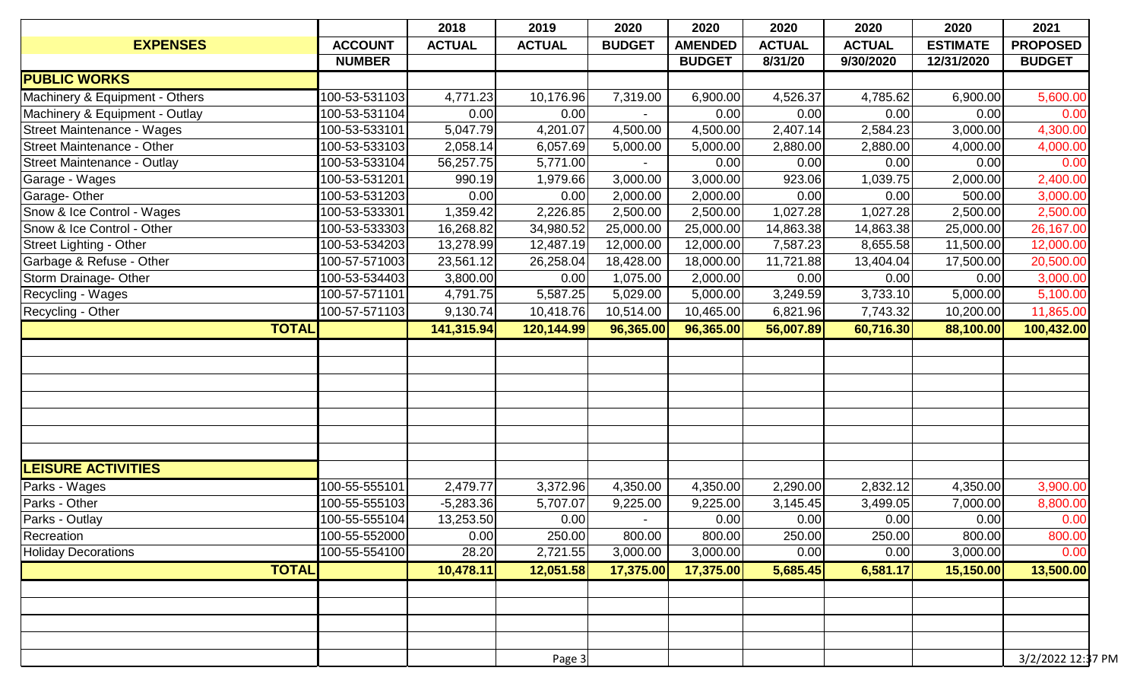|                                |                | 2018          | 2019          | 2020          | 2020           | 2020          | 2020          | 2020            | 2021              |
|--------------------------------|----------------|---------------|---------------|---------------|----------------|---------------|---------------|-----------------|-------------------|
| <b>EXPENSES</b>                | <b>ACCOUNT</b> | <b>ACTUAL</b> | <b>ACTUAL</b> | <b>BUDGET</b> | <b>AMENDED</b> | <b>ACTUAL</b> | <b>ACTUAL</b> | <b>ESTIMATE</b> | <b>PROPOSED</b>   |
|                                | <b>NUMBER</b>  |               |               |               | <b>BUDGET</b>  | 8/31/20       | 9/30/2020     | 12/31/2020      | <b>BUDGET</b>     |
| <b>PUBLIC WORKS</b>            |                |               |               |               |                |               |               |                 |                   |
| Machinery & Equipment - Others | 100-53-531103  | 4,771.23      | 10,176.96     | 7,319.00      | 6,900.00       | 4,526.37      | 4,785.62      | 6,900.00        | 5,600.00          |
| Machinery & Equipment - Outlay | 100-53-531104  | 0.00          | 0.00          |               | 0.00           | 0.00          | 0.00          | 0.00            | 0.00              |
| Street Maintenance - Wages     | 100-53-533101  | 5,047.79      | 4,201.07      | 4,500.00      | 4,500.00       | 2,407.14      | 2,584.23      | 3,000.00        | 4,300.00          |
| Street Maintenance - Other     | 100-53-533103  | 2,058.14      | 6,057.69      | 5,000.00      | 5,000.00       | 2,880.00      | 2,880.00      | 4,000.00        | 4,000.00          |
| Street Maintenance - Outlay    | 100-53-533104  | 56,257.75     | 5,771.00      |               | 0.00           | 0.00          | 0.00          | 0.00            | 0.00              |
| Garage - Wages                 | 100-53-531201  | 990.19        | 1,979.66      | 3,000.00      | 3,000.00       | 923.06        | 1,039.75      | 2,000.00        | 2,400.00          |
| Garage- Other                  | 100-53-531203  | 0.00          | 0.00          | 2,000.00      | 2,000.00       | 0.00          | 0.00          | 500.00          | 3,000.00          |
| Snow & Ice Control - Wages     | 100-53-533301  | 1,359.42      | 2,226.85      | 2,500.00      | 2,500.00       | 1,027.28      | 1,027.28      | 2,500.00        | 2,500.00          |
| Snow & Ice Control - Other     | 100-53-533303  | 16,268.82     | 34,980.52     | 25,000.00     | 25,000.00      | 14,863.38     | 14,863.38     | 25,000.00       | 26,167.00         |
| Street Lighting - Other        | 100-53-534203  | 13,278.99     | 12,487.19     | 12,000.00     | 12,000.00      | 7,587.23      | 8,655.58      | 11,500.00       | 12,000.00         |
| Garbage & Refuse - Other       | 100-57-571003  | 23,561.12     | 26,258.04     | 18,428.00     | 18,000.00      | 11,721.88     | 13,404.04     | 17,500.00       | 20,500.00         |
| Storm Drainage- Other          | 100-53-534403  | 3,800.00      | 0.00          | 1,075.00      | 2,000.00       | 0.00          | 0.00          | 0.00            | 3,000.00          |
| Recycling - Wages              | 100-57-571101  | 4,791.75      | 5,587.25      | 5,029.00      | 5,000.00       | 3,249.59      | 3,733.10      | 5,000.00        | 5,100.00          |
| Recycling - Other              | 100-57-571103  | 9,130.74      | 10,418.76     | 10,514.00     | 10,465.00      | 6,821.96      | 7,743.32      | 10,200.00       | 11,865.00         |
| <b>TOTAL</b>                   |                | 141,315.94    | 120,144.99    | 96,365.00     | 96,365.00      | 56,007.89     | 60,716.30     | 88,100.00       | 100,432.00        |
|                                |                |               |               |               |                |               |               |                 |                   |
|                                |                |               |               |               |                |               |               |                 |                   |
|                                |                |               |               |               |                |               |               |                 |                   |
|                                |                |               |               |               |                |               |               |                 |                   |
|                                |                |               |               |               |                |               |               |                 |                   |
|                                |                |               |               |               |                |               |               |                 |                   |
|                                |                |               |               |               |                |               |               |                 |                   |
| <b>LEISURE ACTIVITIES</b>      |                |               |               |               |                |               |               |                 |                   |
| Parks - Wages                  | 100-55-555101  | 2,479.77      | 3,372.96      | 4,350.00      | 4,350.00       | 2,290.00      | 2,832.12      | 4,350.00        | 3,900.00          |
| Parks - Other                  | 100-55-555103  | $-5,283.36$   | 5,707.07      | 9,225.00      | 9,225.00       | 3,145.45      | 3,499.05      | 7,000.00        | 8,800.00          |
| Parks - Outlay                 | 100-55-555104  | 13,253.50     | 0.00          |               | 0.00           | 0.00          | 0.00          | 0.00            | 0.00              |
| Recreation                     | 100-55-552000  | 0.00          | 250.00        | 800.00        | 800.00         | 250.00        | 250.00        | 800.00          | 800.00            |
| <b>Holiday Decorations</b>     | 100-55-554100  | 28.20         | 2,721.55      | 3,000.00      | 3,000.00       | 0.00          | 0.00          | 3,000.00        | 0.00              |
| <b>TOTAL</b>                   |                |               |               |               | 17,375.00      | 5,685.45      | 6,581.17      |                 | 13,500.00         |
|                                |                | 10,478.11     | 12,051.58     | 17,375.00     |                |               |               | 15,150.00       |                   |
|                                |                |               |               |               |                |               |               |                 |                   |
|                                |                |               |               |               |                |               |               |                 |                   |
|                                |                |               |               |               |                |               |               |                 |                   |
|                                |                |               |               |               |                |               |               |                 |                   |
|                                |                |               | Page 3        |               |                |               |               |                 | 3/2/2022 12:37 PM |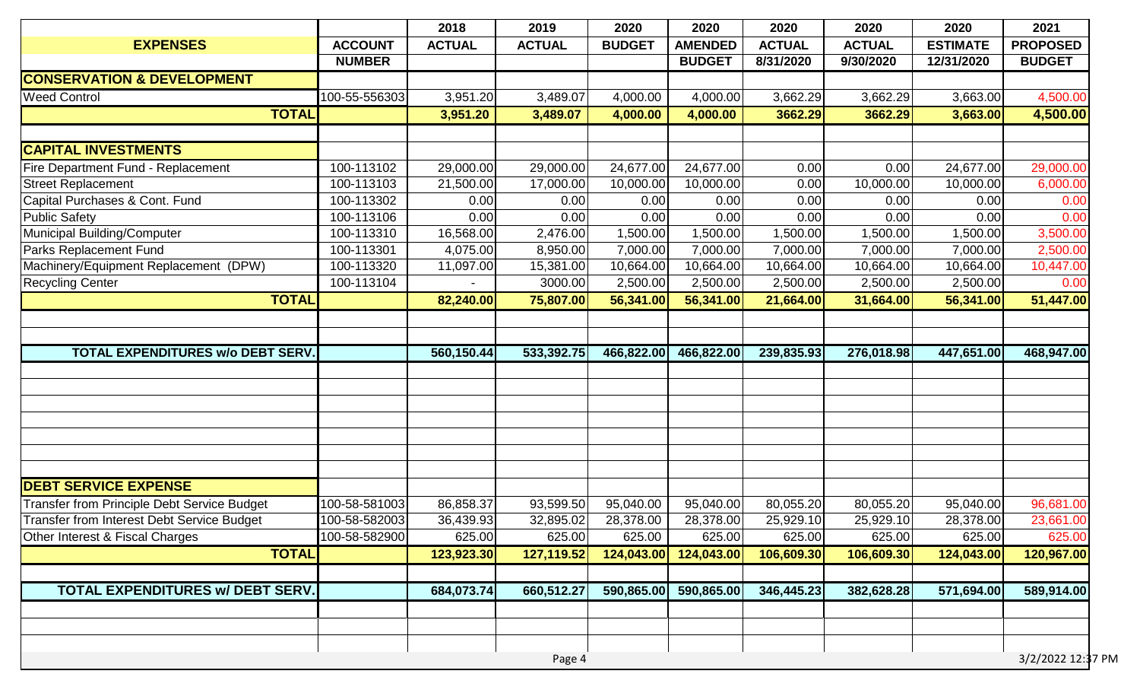|                                                   |                | 2018          | 2019          | 2020          | 2020           | 2020          | 2020          | 2020            | 2021              |
|---------------------------------------------------|----------------|---------------|---------------|---------------|----------------|---------------|---------------|-----------------|-------------------|
| <b>EXPENSES</b>                                   | <b>ACCOUNT</b> | <b>ACTUAL</b> | <b>ACTUAL</b> | <b>BUDGET</b> | <b>AMENDED</b> | <b>ACTUAL</b> | <b>ACTUAL</b> | <b>ESTIMATE</b> | <b>PROPOSED</b>   |
|                                                   | <b>NUMBER</b>  |               |               |               | <b>BUDGET</b>  | 8/31/2020     | 9/30/2020     | 12/31/2020      | <b>BUDGET</b>     |
| <b>CONSERVATION &amp; DEVELOPMENT</b>             |                |               |               |               |                |               |               |                 |                   |
| <b>Weed Control</b>                               | 100-55-556303  | 3,951.20      | 3,489.07      | 4,000.00      | 4,000.00       | 3,662.29      | 3,662.29      | 3,663.00        | 4,500.00          |
| <b>TOTAL</b>                                      |                | 3,951.20      | 3,489.07      | 4,000.00      | 4,000.00       | 3662.29       | 3662.29       | 3,663.00        | 4,500.00          |
| <b>CAPITAL INVESTMENTS</b>                        |                |               |               |               |                |               |               |                 |                   |
| Fire Department Fund - Replacement                | 100-113102     | 29,000.00     | 29,000.00     | 24,677.00     | 24,677.00      | 0.00          | 0.00          | 24,677.00       | 29,000.00         |
| <b>Street Replacement</b>                         | 100-113103     | 21,500.00     | 17,000.00     | 10,000.00     | 10,000.00      | 0.00          | 10,000.00     | 10,000.00       | 6,000.00          |
| Capital Purchases & Cont. Fund                    | 100-113302     | 0.00          | 0.00          | 0.00          | 0.00           | 0.00          | 0.00          | 0.00            | 0.00              |
| <b>Public Safety</b>                              | 100-113106     | 0.00          | 0.00          | 0.00          | 0.00           | 0.00          | 0.00          | 0.00            | 0.00              |
| Municipal Building/Computer                       | 100-113310     | 16,568.00     | 2,476.00      | 1,500.00      | 1,500.00       | 1,500.00      | 1,500.00      | 1,500.00        | 3,500.00          |
| Parks Replacement Fund                            | 100-113301     | 4,075.00      | 8,950.00      | 7,000.00      | 7,000.00       | 7,000.00      | 7,000.00      | 7,000.00        | 2,500.00          |
| Machinery/Equipment Replacement (DPW)             | 100-113320     | 11,097.00     | 15,381.00     | 10,664.00     | 10,664.00      | 10,664.00     | 10,664.00     | 10,664.00       | 10,447.00         |
| <b>Recycling Center</b>                           | 100-113104     |               | 3000.00       | 2,500.00      | 2,500.00       | 2,500.00      | 2,500.00      | 2,500.00        | 0.00              |
| <b>TOTAL</b>                                      |                | 82,240.00     | 75,807.00     | 56,341.00     | 56,341.00      | 21,664.00     | 31,664.00     | 56,341.00       | 51,447.00         |
| <b>TOTAL EXPENDITURES W/o DEBT SERV.</b>          |                | 560,150.44    | 533,392.75    | 466,822.00    | 466,822.00     | 239,835.93    | 276,018.98    | 447,651.00      | 468,947.00        |
|                                                   |                |               |               |               |                |               |               |                 |                   |
| <b>DEBT SERVICE EXPENSE</b>                       |                |               |               |               |                |               |               |                 |                   |
| Transfer from Principle Debt Service Budget       | 100-58-581003  | 86,858.37     | 93,599.50     | 95,040.00     | 95,040.00      | 80,055.20     | 80,055.20     | 95,040.00       | 96,681.00         |
| <b>Transfer from Interest Debt Service Budget</b> | 100-58-582003  | 36,439.93     | 32,895.02     | 28,378.00     | 28,378.00      | 25,929.10     | 25,929.10     | 28,378.00       | 23,661.00         |
| Other Interest & Fiscal Charges                   | 100-58-582900  | 625.00        | 625.00        | 625.00        | 625.00         | 625.00        | 625.00        | 625.00          | 625.00            |
| <b>TOTAL</b>                                      |                | 123,923.30    | 127,119.52    | 124,043.00    | 124,043.00     | 106,609.30    | 106,609.30    | 124,043.00      | 120,967.00        |
| TOTAL EXPENDITURES w/ DEBT SERV.                  |                | 684,073.74    | 660,512.27    | 590,865.00    | 590,865.00     | 346,445.23    | 382,628.28    | 571,694.00      | 589,914.00        |
|                                                   |                |               |               |               |                |               |               |                 |                   |
|                                                   |                |               | Page 4        |               |                |               |               |                 | 3/2/2022 12:37 PM |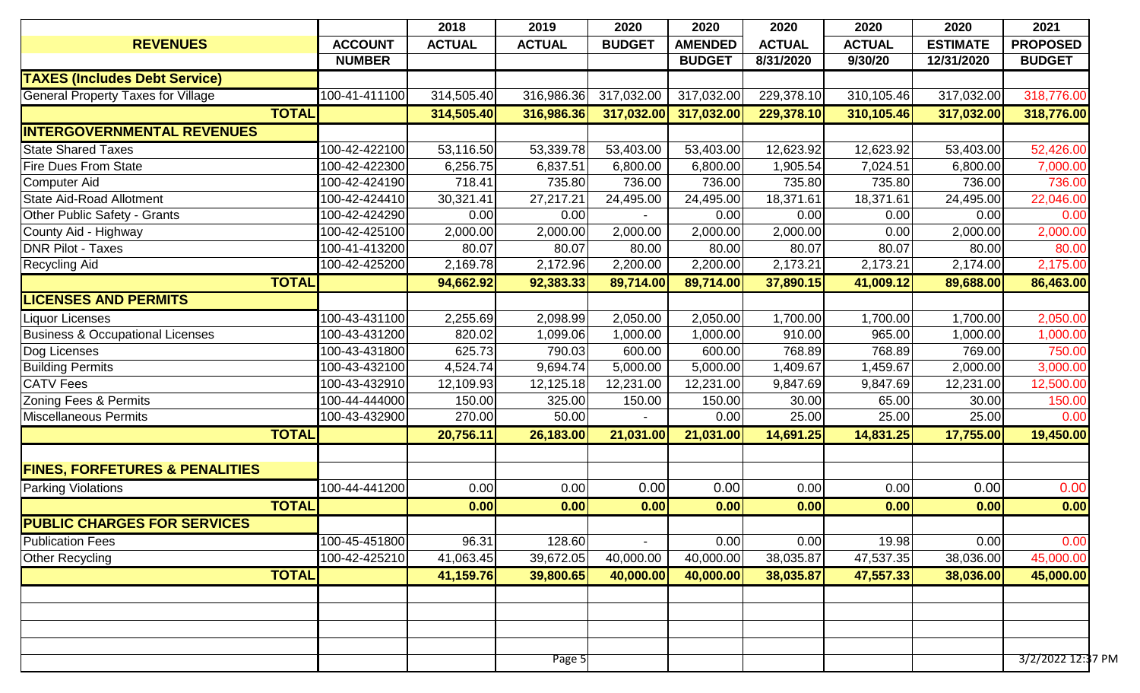| 2018<br>2019<br>2020<br>2020<br>2020<br>2020                                                                                                   | 2020            | 2021            |
|------------------------------------------------------------------------------------------------------------------------------------------------|-----------------|-----------------|
| <b>REVENUES</b><br><b>ACCOUNT</b><br><b>ACTUAL</b><br><b>ACTUAL</b><br><b>BUDGET</b><br><b>AMENDED</b><br><b>ACTUAL</b><br><b>ACTUAL</b>       | <b>ESTIMATE</b> | <b>PROPOSED</b> |
| <b>NUMBER</b><br><b>BUDGET</b><br>8/31/2020<br>9/30/20                                                                                         | 12/31/2020      | <b>BUDGET</b>   |
| <b>TAXES (Includes Debt Service)</b>                                                                                                           |                 |                 |
| 229,378.10<br><b>General Property Taxes for Village</b><br>100-41-411100<br>314,505.40<br>316,986.36<br>317,032.00<br>317,032.00<br>310,105.46 | 317,032.00      | 318,776.00      |
| <b>TOTAL</b><br>317,032.00<br>229,378.10<br>310,105.46<br>314,505.40<br>316,986.36<br>317,032.00                                               | 317,032.00      | 318,776.00      |
| <b>INTERGOVERNMENTAL REVENUES</b>                                                                                                              |                 |                 |
| <b>State Shared Taxes</b><br>100-42-422100<br>53,116.50<br>53,339.78<br>53,403.00<br>53,403.00<br>12,623.92<br>12,623.92                       | 53,403.00       | 52,426.00       |
| <b>Fire Dues From State</b><br>100-42-422300<br>6,256.75<br>6,800.00<br>1,905.54<br>7,024.51<br>6,837.51<br>6,800.00                           | 6,800.00        | 7,000.00        |
| 100-42-424190<br>718.41<br>735.80<br>736.00<br>736.00<br>735.80<br>735.80<br><b>Computer Aid</b>                                               | 736.00          | 736.00          |
| <b>State Aid-Road Allotment</b><br>100-42-424410<br>27,217.21<br>18,371.61<br>30,321.41<br>24,495.00<br>24,495.00<br>18,371.61                 | 24,495.00       | 22,046.00       |
| Other Public Safety - Grants<br>100-42-424290<br>0.00<br>0.00<br>0.00<br>0.00<br>0.00                                                          | 0.00            | 0.00            |
| 2,000.00<br>County Aid - Highway<br>100-42-425100<br>2,000.00<br>2,000.00<br>2,000.00<br>0.00<br>2,000.00                                      | 2,000.00        | 2,000.00        |
| <b>DNR Pilot - Taxes</b><br>100-41-413200<br>80.07<br>80.07<br>80.07<br>80.07<br>80.00<br>80.00                                                | 80.00           | 80.00           |
| 100-42-425200<br>2,200.00<br>2,200.00<br>2,173.21<br>2,169.78<br>2,172.96<br>2,173.21<br><b>Recycling Aid</b>                                  | 2,174.00        | 2,175.00        |
| <b>TOTAL</b><br>94,662.92<br>92,383.33<br>89,714.00<br>89,714.00<br>37,890.15<br>41,009.12                                                     | 89,688.00       | 86,463.00       |
| <b>LICENSES AND PERMITS</b>                                                                                                                    |                 |                 |
| 100-43-431100<br>2,255.69<br>2,098.99<br>2,050.00<br>1,700.00<br>1,700.00<br>2,050.00<br><b>Liquor Licenses</b>                                | 1,700.00        | 2,050.00        |
| <b>Business &amp; Occupational Licenses</b><br>820.02<br>965.00<br>100-43-431200<br>1,099.06<br>1,000.00<br>1,000.00<br>910.00                 | 1,000.00        | 1,000.00        |
| 100-43-431800<br>Dog Licenses<br>600.00<br>600.00<br>768.89<br>768.89<br>625.73<br>790.03                                                      | 769.00          | 750.00          |
| <b>Building Permits</b><br>9,694.74<br>100-43-432100<br>4,524.74<br>5,000.00<br>5,000.00<br>1,409.67<br>1,459.67                               | 2,000.00        | 3,000.00        |
| <b>CATV Fees</b><br>100-43-432910<br>12,109.93<br>12,231.00<br>12,231.00<br>9,847.69<br>9,847.69<br>12,125.18                                  | 12,231.00       | 12,500.00       |
| 100-44-444000<br>Zoning Fees & Permits<br>150.00<br>325.00<br>150.00<br>150.00<br>30.00<br>65.00                                               | 30.00           | 150.00          |
| <b>Miscellaneous Permits</b><br>100-43-432900<br>270.00<br>50.00<br>25.00<br>25.00<br>0.00                                                     | 25.00           | 0.00            |
| <b>TOTAL</b><br>20,756.11<br>26,183.00<br>21,031.00<br>21,031.00<br>14,691.25<br>14,831.25                                                     | 17,755.00       | 19,450.00       |
|                                                                                                                                                |                 |                 |
| <b>FINES, FORFETURES &amp; PENALITIES</b>                                                                                                      |                 |                 |
| 0.00<br>0.00<br><b>Parking Violations</b><br>100-44-441200<br>0.00<br>0.00<br>0.00<br>0.00                                                     | 0.00            | 0.00            |
| <b>TOTAL</b><br>0.00<br>0.00<br>0.00<br>0.00<br>0.00<br>0.00                                                                                   | 0.00            | 0.00            |
| <b>PUBLIC CHARGES FOR SERVICES</b>                                                                                                             |                 |                 |
| <b>Publication Fees</b><br>100-45-451800<br>96.31<br>128.60<br>0.00<br>0.00<br>19.98                                                           | 0.00            | 0.00            |
| 39,672.05<br>40,000.00<br>40,000.00<br>38,035.87<br>47,537.35<br>Other Recycling<br>100-42-425210<br>41,063.45                                 | 38,036.00       | 45,000.00       |
| <b>TOTAL</b><br>38,035.87<br>47,557.33<br>41,159.76<br>39,800.65<br>40,000.00<br>40,000.00                                                     | 38,036.00       | 45,000.00       |
|                                                                                                                                                |                 |                 |
|                                                                                                                                                |                 |                 |
|                                                                                                                                                |                 |                 |
|                                                                                                                                                |                 |                 |
|                                                                                                                                                |                 |                 |